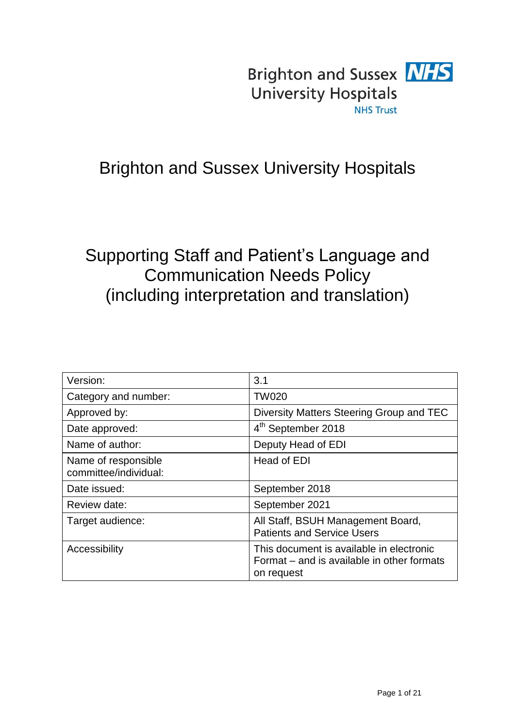

# Brighton and Sussex University Hospitals

# Supporting Staff and Patient's Language and Communication Needs Policy (including interpretation and translation)

| Version:                                     | 3.1                                                                                                  |
|----------------------------------------------|------------------------------------------------------------------------------------------------------|
| Category and number:                         | <b>TW020</b>                                                                                         |
| Approved by:                                 | Diversity Matters Steering Group and TEC                                                             |
| Date approved:                               | 4 <sup>th</sup> September 2018                                                                       |
| Name of author:                              | Deputy Head of EDI                                                                                   |
| Name of responsible<br>committee/individual: | Head of EDI                                                                                          |
| Date issued:                                 | September 2018                                                                                       |
| Review date:                                 | September 2021                                                                                       |
| Target audience:                             | All Staff, BSUH Management Board,<br><b>Patients and Service Users</b>                               |
| Accessibility                                | This document is available in electronic<br>Format – and is available in other formats<br>on request |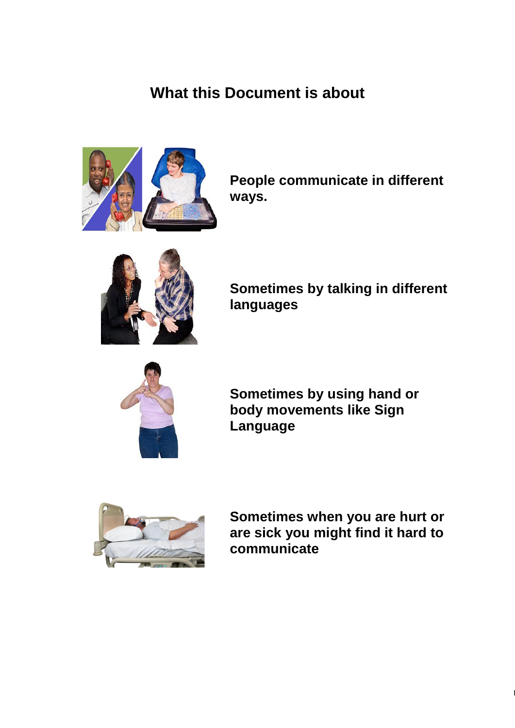# **What this Document is about**



**People communicate in different ways.**



**Sometimes by talking in different languages**



**Sometimes by using hand or body movements like Sign Language**



**Sometimes when you are hurt or are sick you might find it hard to communicate**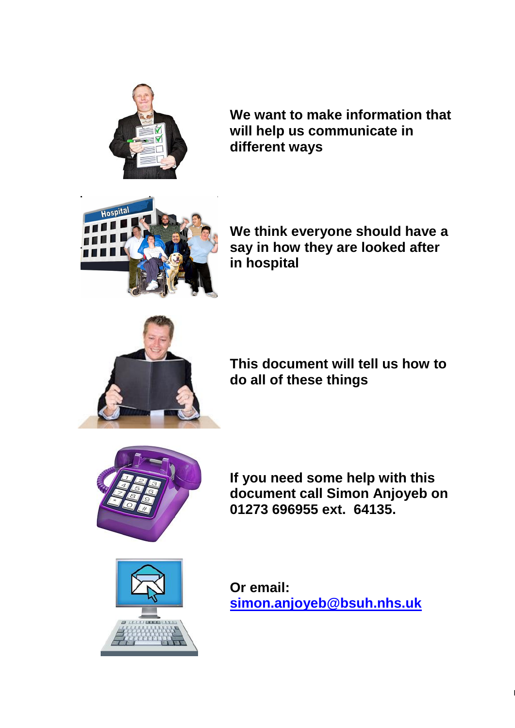

**We want to make information that will help us communicate in different ways**



**We think everyone should have a say in how they are looked after in hospital**



**This document will tell us how to do all of these things**



**If you need some help with this document call Simon Anjoyeb on 01273 696955 ext. 64135.**



**Or email: [simon.anjoyeb@bsuh.nhs.uk](mailto:simon.anjoyeb@bsuh.nhs.uk)**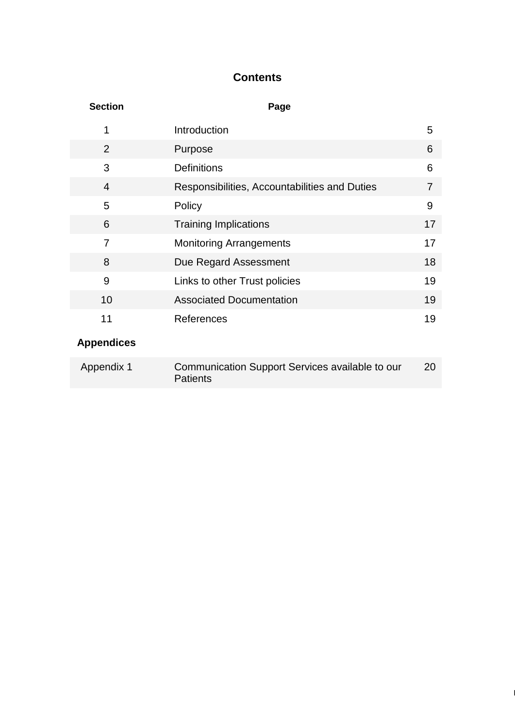# **Contents**

| <b>Section</b>    | Page                                                               |    |
|-------------------|--------------------------------------------------------------------|----|
| 1                 | Introduction                                                       | 5  |
| 2                 | Purpose                                                            | 6  |
| 3                 | <b>Definitions</b>                                                 | 6  |
| $\overline{4}$    | Responsibilities, Accountabilities and Duties                      | 7  |
| 5                 | Policy                                                             | 9  |
| 6                 | <b>Training Implications</b>                                       | 17 |
| $\overline{7}$    | <b>Monitoring Arrangements</b>                                     | 17 |
| 8                 | Due Regard Assessment                                              | 18 |
| 9                 | Links to other Trust policies                                      | 19 |
| 10                | <b>Associated Documentation</b>                                    | 19 |
| 11                | References                                                         | 19 |
| <b>Appendices</b> |                                                                    |    |
| Appendix 1        | Communication Support Services available to our<br><b>Patients</b> | 20 |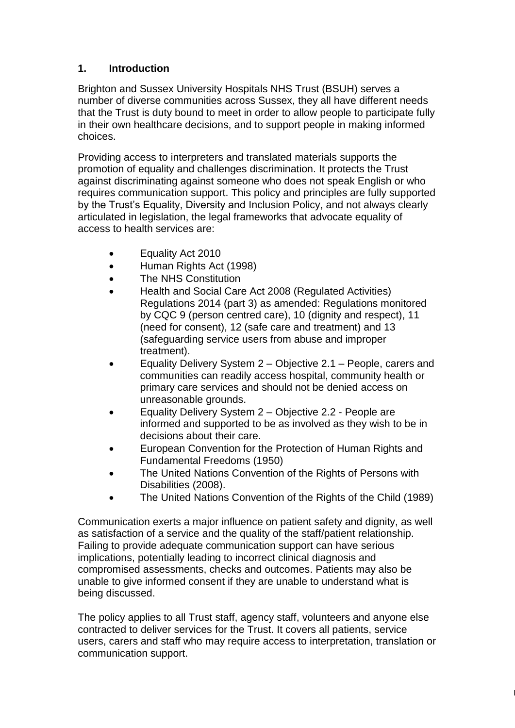## **1. Introduction**

Brighton and Sussex University Hospitals NHS Trust (BSUH) serves a number of diverse communities across Sussex, they all have different needs that the Trust is duty bound to meet in order to allow people to participate fully in their own healthcare decisions, and to support people in making informed choices.

Providing access to interpreters and translated materials supports the promotion of equality and challenges discrimination. It protects the Trust against discriminating against someone who does not speak English or who requires communication support. This policy and principles are fully supported by the Trust's Equality, Diversity and Inclusion Policy, and not always clearly articulated in legislation, the legal frameworks that advocate equality of access to health services are:

- Equality Act 2010
- Human Rights Act (1998)
- The NHS Constitution
- Health and Social Care Act 2008 (Regulated Activities) Regulations 2014 (part 3) as amended: Regulations monitored by CQC 9 (person centred care), 10 (dignity and respect), 11 (need for consent), 12 (safe care and treatment) and 13 (safeguarding service users from abuse and improper treatment).
- Equality Delivery System 2 Objective 2.1 People, carers and communities can readily access hospital, community health or primary care services and should not be denied access on unreasonable grounds.
- Equality Delivery System 2 Objective 2.2 People are informed and supported to be as involved as they wish to be in decisions about their care.
- European Convention for the Protection of Human Rights and Fundamental Freedoms (1950)
- The United Nations Convention of the Rights of Persons with Disabilities (2008).
- The United Nations Convention of the Rights of the Child (1989)

Communication exerts a major influence on patient safety and dignity, as well as satisfaction of a service and the quality of the staff/patient relationship. Failing to provide adequate communication support can have serious implications, potentially leading to incorrect clinical diagnosis and compromised assessments, checks and outcomes. Patients may also be unable to give informed consent if they are unable to understand what is being discussed.

The policy applies to all Trust staff, agency staff, volunteers and anyone else contracted to deliver services for the Trust. It covers all patients, service users, carers and staff who may require access to interpretation, translation or communication support.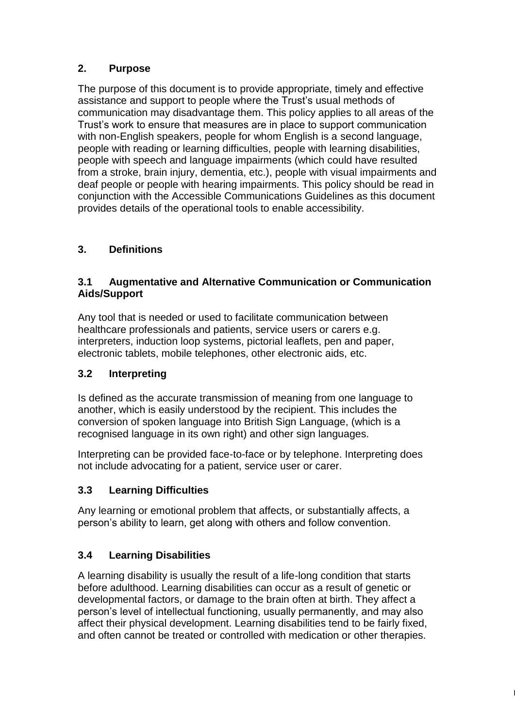# **2. Purpose**

The purpose of this document is to provide appropriate, timely and effective assistance and support to people where the Trust's usual methods of communication may disadvantage them. This policy applies to all areas of the Trust's work to ensure that measures are in place to support communication with non-English speakers, people for whom English is a second language, people with reading or learning difficulties, people with learning disabilities, people with speech and language impairments (which could have resulted from a stroke, brain injury, dementia, etc.), people with visual impairments and deaf people or people with hearing impairments. This policy should be read in conjunction with the Accessible Communications Guidelines as this document provides details of the operational tools to enable accessibility.

# **3. Definitions**

## **3.1 Augmentative and Alternative Communication or Communication Aids/Support**

Any tool that is needed or used to facilitate communication between healthcare professionals and patients, service users or carers e.g. interpreters, induction loop systems, pictorial leaflets, pen and paper, electronic tablets, mobile telephones, other electronic aids, etc.

# **3.2 Interpreting**

Is defined as the accurate transmission of meaning from one language to another, which is easily understood by the recipient. This includes the conversion of spoken language into British Sign Language, (which is a recognised language in its own right) and other sign languages.

Interpreting can be provided face-to-face or by telephone. Interpreting does not include advocating for a patient, service user or carer.

# **3.3 Learning Difficulties**

Any learning or emotional problem that affects, or substantially affects, a person's ability to learn, get along with others and follow convention.

# **3.4 Learning Disabilities**

A learning disability is usually the result of a life-long condition that starts before adulthood. Learning disabilities can occur as a result of genetic or developmental factors, or damage to the brain often at birth. They affect a person's level of intellectual functioning, usually permanently, and may also affect their physical development. Learning disabilities tend to be fairly fixed, and often cannot be treated or controlled with medication or other therapies.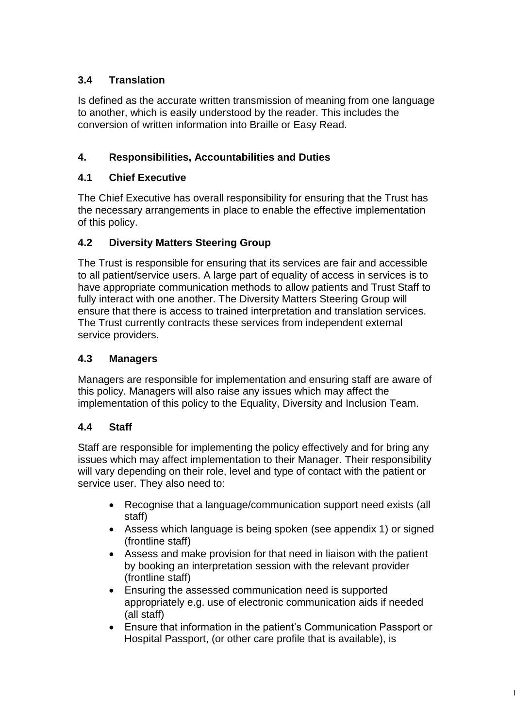# **3.4 Translation**

Is defined as the accurate written transmission of meaning from one language to another, which is easily understood by the reader. This includes the conversion of written information into Braille or Easy Read.

# **4. Responsibilities, Accountabilities and Duties**

## **4.1 Chief Executive**

The Chief Executive has overall responsibility for ensuring that the Trust has the necessary arrangements in place to enable the effective implementation of this policy.

## **4.2 Diversity Matters Steering Group**

The Trust is responsible for ensuring that its services are fair and accessible to all patient/service users. A large part of equality of access in services is to have appropriate communication methods to allow patients and Trust Staff to fully interact with one another. The Diversity Matters Steering Group will ensure that there is access to trained interpretation and translation services. The Trust currently contracts these services from independent external service providers.

## **4.3 Managers**

Managers are responsible for implementation and ensuring staff are aware of this policy. Managers will also raise any issues which may affect the implementation of this policy to the Equality, Diversity and Inclusion Team.

#### **4.4 Staff**

Staff are responsible for implementing the policy effectively and for bring any issues which may affect implementation to their Manager. Their responsibility will vary depending on their role, level and type of contact with the patient or service user. They also need to:

- Recognise that a language/communication support need exists (all staff)
- Assess which language is being spoken (see appendix 1) or signed (frontline staff)
- Assess and make provision for that need in liaison with the patient by booking an interpretation session with the relevant provider (frontline staff)
- Ensuring the assessed communication need is supported appropriately e.g. use of electronic communication aids if needed (all staff)
- Ensure that information in the patient's Communication Passport or Hospital Passport, (or other care profile that is available), is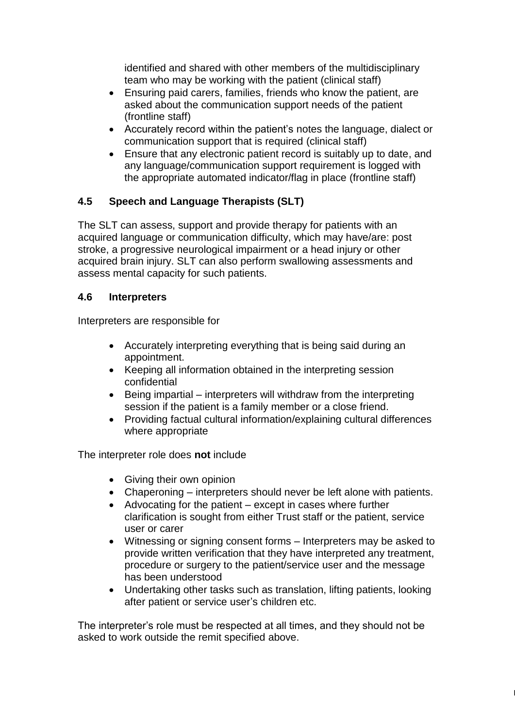identified and shared with other members of the multidisciplinary team who may be working with the patient (clinical staff)

- Ensuring paid carers, families, friends who know the patient, are asked about the communication support needs of the patient (frontline staff)
- Accurately record within the patient's notes the language, dialect or communication support that is required (clinical staff)
- Ensure that any electronic patient record is suitably up to date, and any language/communication support requirement is logged with the appropriate automated indicator/flag in place (frontline staff)

## **4.5 Speech and Language Therapists (SLT)**

The SLT can assess, support and provide therapy for patients with an acquired language or communication difficulty, which may have/are: post stroke, a progressive neurological impairment or a head injury or other acquired brain injury. SLT can also perform swallowing assessments and assess mental capacity for such patients.

#### **4.6 Interpreters**

Interpreters are responsible for

- Accurately interpreting everything that is being said during an appointment.
- Keeping all information obtained in the interpreting session confidential
- $\bullet$  Being impartial interpreters will withdraw from the interpreting session if the patient is a family member or a close friend.
- Providing factual cultural information/explaining cultural differences where appropriate

The interpreter role does **not** include

- Giving their own opinion
- Chaperoning interpreters should never be left alone with patients.
- Advocating for the patient except in cases where further clarification is sought from either Trust staff or the patient, service user or carer
- Witnessing or signing consent forms Interpreters may be asked to provide written verification that they have interpreted any treatment, procedure or surgery to the patient/service user and the message has been understood
- Undertaking other tasks such as translation, lifting patients, looking after patient or service user's children etc.

 $\vert$ 

The interpreter's role must be respected at all times, and they should not be asked to work outside the remit specified above.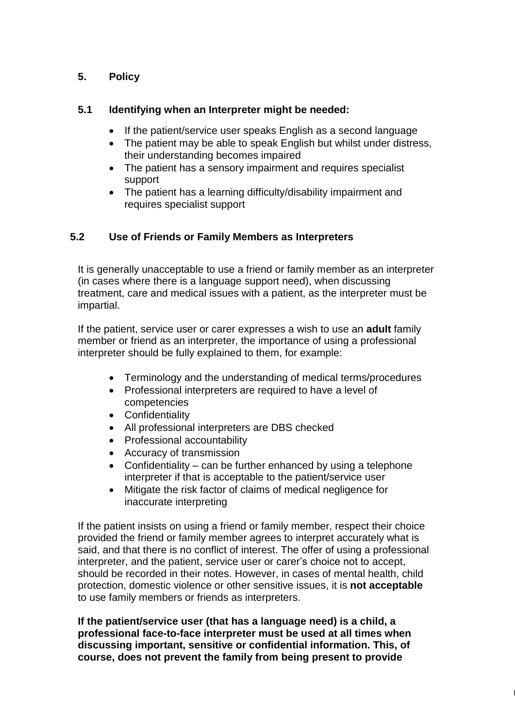# **5. Policy**

#### **5.1 Identifying when an Interpreter might be needed:**

- If the patient/service user speaks English as a second language
- The patient may be able to speak English but whilst under distress, their understanding becomes impaired
- The patient has a sensory impairment and requires specialist support
- The patient has a learning difficulty/disability impairment and requires specialist support

## **5.2 Use of Friends or Family Members as Interpreters**

It is generally unacceptable to use a friend or family member as an interpreter (in cases where there is a language support need), when discussing treatment, care and medical issues with a patient, as the interpreter must be impartial.

If the patient, service user or carer expresses a wish to use an **adult** family member or friend as an interpreter, the importance of using a professional interpreter should be fully explained to them, for example:

- Terminology and the understanding of medical terms/procedures
- Professional interpreters are required to have a level of competencies
- Confidentiality
- All professional interpreters are DBS checked
- Professional accountability
- Accuracy of transmission
- Confidentiality can be further enhanced by using a telephone interpreter if that is acceptable to the patient/service user
- Mitigate the risk factor of claims of medical negligence for inaccurate interpreting

If the patient insists on using a friend or family member, respect their choice provided the friend or family member agrees to interpret accurately what is said, and that there is no conflict of interest. The offer of using a professional interpreter, and the patient, service user or carer's choice not to accept, should be recorded in their notes. However, in cases of mental health, child protection, domestic violence or other sensitive issues, it is **not acceptable** to use family members or friends as interpreters.

**If the patient/service user (that has a language need) is a child, a professional face-to-face interpreter must be used at all times when discussing important, sensitive or confidential information. This, of course, does not prevent the family from being present to provide**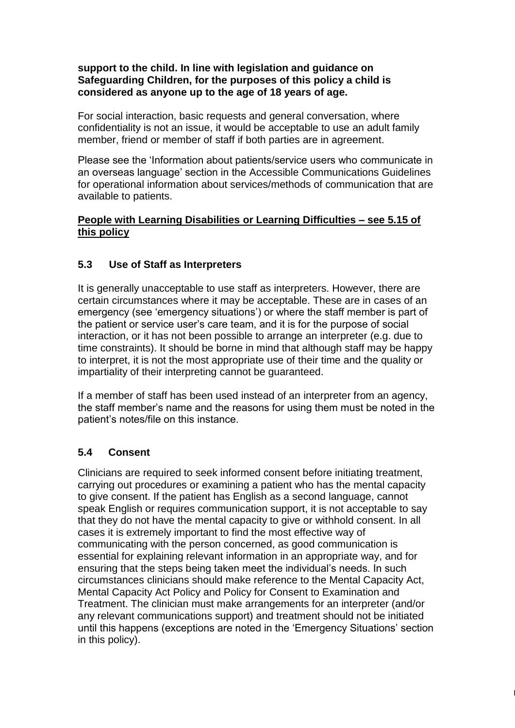#### **support to the child. In line with legislation and guidance on Safeguarding Children, for the purposes of this policy a child is considered as anyone up to the age of 18 years of age.**

For social interaction, basic requests and general conversation, where confidentiality is not an issue, it would be acceptable to use an adult family member, friend or member of staff if both parties are in agreement.

Please see the 'Information about patients/service users who communicate in an overseas language' section in the Accessible Communications Guidelines for operational information about services/methods of communication that are available to patients.

#### **People with Learning Disabilities or Learning Difficulties – see 5.15 of this policy**

#### **5.3 Use of Staff as Interpreters**

It is generally unacceptable to use staff as interpreters. However, there are certain circumstances where it may be acceptable. These are in cases of an emergency (see 'emergency situations') or where the staff member is part of the patient or service user's care team, and it is for the purpose of social interaction, or it has not been possible to arrange an interpreter (e.g. due to time constraints). It should be borne in mind that although staff may be happy to interpret, it is not the most appropriate use of their time and the quality or impartiality of their interpreting cannot be guaranteed.

If a member of staff has been used instead of an interpreter from an agency, the staff member's name and the reasons for using them must be noted in the patient's notes/file on this instance.

#### **5.4 Consent**

Clinicians are required to seek informed consent before initiating treatment, carrying out procedures or examining a patient who has the mental capacity to give consent. If the patient has English as a second language, cannot speak English or requires communication support, it is not acceptable to say that they do not have the mental capacity to give or withhold consent. In all cases it is extremely important to find the most effective way of communicating with the person concerned, as good communication is essential for explaining relevant information in an appropriate way, and for ensuring that the steps being taken meet the individual's needs. In such circumstances clinicians should make reference to the Mental Capacity Act, Mental Capacity Act Policy and Policy for Consent to Examination and Treatment. The clinician must make arrangements for an interpreter (and/or any relevant communications support) and treatment should not be initiated until this happens (exceptions are noted in the 'Emergency Situations' section in this policy).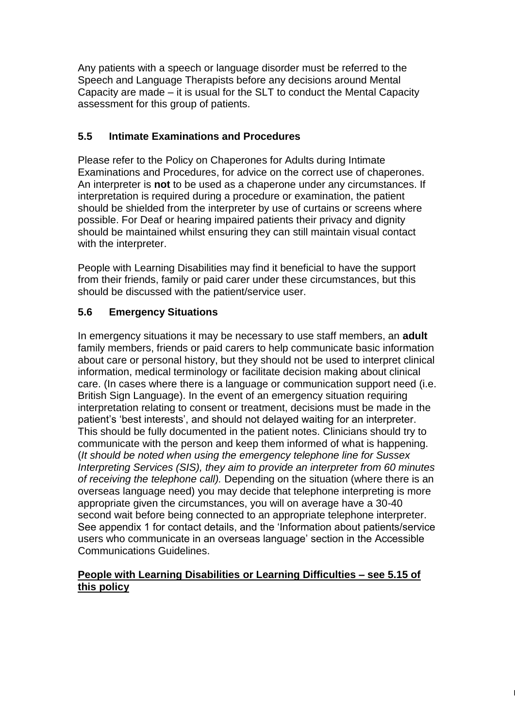Any patients with a speech or language disorder must be referred to the Speech and Language Therapists before any decisions around Mental Capacity are made – it is usual for the SLT to conduct the Mental Capacity assessment for this group of patients.

## **5.5 Intimate Examinations and Procedures**

Please refer to the Policy on Chaperones for Adults during Intimate Examinations and Procedures, for advice on the correct use of chaperones. An interpreter is **not** to be used as a chaperone under any circumstances. If interpretation is required during a procedure or examination, the patient should be shielded from the interpreter by use of curtains or screens where possible. For Deaf or hearing impaired patients their privacy and dignity should be maintained whilst ensuring they can still maintain visual contact with the interpreter.

People with Learning Disabilities may find it beneficial to have the support from their friends, family or paid carer under these circumstances, but this should be discussed with the patient/service user.

## **5.6 Emergency Situations**

In emergency situations it may be necessary to use staff members, an **adult** family members, friends or paid carers to help communicate basic information about care or personal history, but they should not be used to interpret clinical information, medical terminology or facilitate decision making about clinical care. (In cases where there is a language or communication support need (i.e. British Sign Language). In the event of an emergency situation requiring interpretation relating to consent or treatment, decisions must be made in the patient's 'best interests', and should not delayed waiting for an interpreter. This should be fully documented in the patient notes. Clinicians should try to communicate with the person and keep them informed of what is happening. (*It should be noted when using the emergency telephone line for Sussex Interpreting Services (SIS), they aim to provide an interpreter from 60 minutes of receiving the telephone call).* Depending on the situation (where there is an overseas language need) you may decide that telephone interpreting is more appropriate given the circumstances, you will on average have a 30-40 second wait before being connected to an appropriate telephone interpreter. See appendix 1 for contact details, and the 'Information about patients/service users who communicate in an overseas language' section in the Accessible Communications Guidelines.

#### **People with Learning Disabilities or Learning Difficulties – see 5.15 of this policy**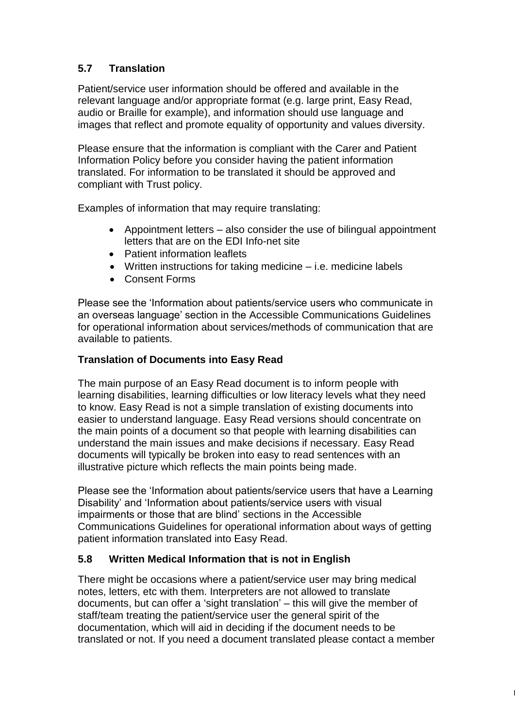# **5.7 Translation**

Patient/service user information should be offered and available in the relevant language and/or appropriate format (e.g. large print, Easy Read, audio or Braille for example), and information should use language and images that reflect and promote equality of opportunity and values diversity.

Please ensure that the information is compliant with the Carer and Patient Information Policy before you consider having the patient information translated. For information to be translated it should be approved and compliant with Trust policy.

Examples of information that may require translating:

- Appointment letters also consider the use of bilingual appointment letters that are on the EDI Info-net site
- Patient information leaflets
- Written instructions for taking medicine i.e. medicine labels
- Consent Forms

Please see the 'Information about patients/service users who communicate in an overseas language' section in the Accessible Communications Guidelines for operational information about services/methods of communication that are available to patients.

#### **Translation of Documents into Easy Read**

The main purpose of an Easy Read document is to inform people with learning disabilities, learning difficulties or low literacy levels what they need to know. Easy Read is not a simple translation of existing documents into easier to understand language. Easy Read versions should concentrate on the main points of a document so that people with learning disabilities can understand the main issues and make decisions if necessary. Easy Read documents will typically be broken into easy to read sentences with an illustrative picture which reflects the main points being made.

Please see the 'Information about patients/service users that have a Learning Disability' and 'Information about patients/service users with visual impairments or those that are blind' sections in the Accessible Communications Guidelines for operational information about ways of getting patient information translated into Easy Read.

#### **5.8 Written Medical Information that is not in English**

There might be occasions where a patient/service user may bring medical notes, letters, etc with them. Interpreters are not allowed to translate documents, but can offer a 'sight translation' – this will give the member of staff/team treating the patient/service user the general spirit of the documentation, which will aid in deciding if the document needs to be translated or not. If you need a document translated please contact a member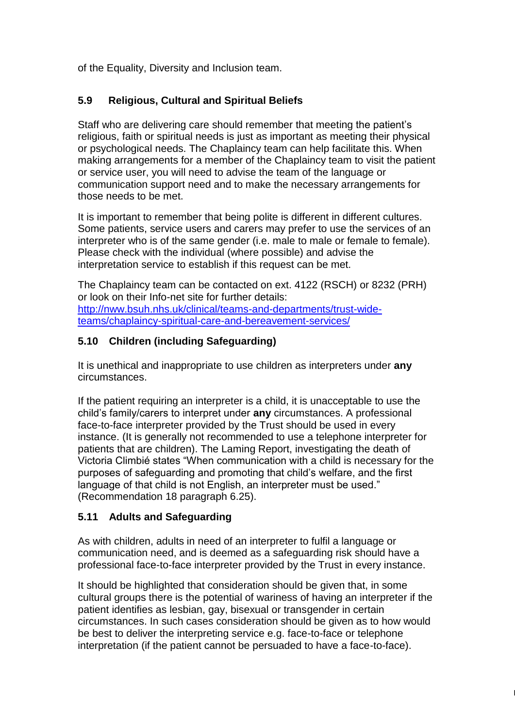of the Equality, Diversity and Inclusion team.

## **5.9 Religious, Cultural and Spiritual Beliefs**

Staff who are delivering care should remember that meeting the patient's religious, faith or spiritual needs is just as important as meeting their physical or psychological needs. The Chaplaincy team can help facilitate this. When making arrangements for a member of the Chaplaincy team to visit the patient or service user, you will need to advise the team of the language or communication support need and to make the necessary arrangements for those needs to be met.

It is important to remember that being polite is different in different cultures. Some patients, service users and carers may prefer to use the services of an interpreter who is of the same gender (i.e. male to male or female to female). Please check with the individual (where possible) and advise the interpretation service to establish if this request can be met.

The Chaplaincy team can be contacted on ext. 4122 (RSCH) or 8232 (PRH) or look on their Info-net site for further details: [http://nww.bsuh.nhs.uk/clinical/teams-and-departments/trust-wide](http://nww.bsuh.nhs.uk/clinical/teams-and-departments/trust-wide-teams/chaplaincy-spiritual-care-and-bereavement-services/)[teams/chaplaincy-spiritual-care-and-bereavement-services/](http://nww.bsuh.nhs.uk/clinical/teams-and-departments/trust-wide-teams/chaplaincy-spiritual-care-and-bereavement-services/)

## **5.10 Children (including Safeguarding)**

It is unethical and inappropriate to use children as interpreters under **any**  circumstances.

If the patient requiring an interpreter is a child, it is unacceptable to use the child's family/carers to interpret under **any** circumstances. A professional face-to-face interpreter provided by the Trust should be used in every instance. (It is generally not recommended to use a telephone interpreter for patients that are children). The Laming Report, investigating the death of Victoria Climbié states "When communication with a child is necessary for the purposes of safeguarding and promoting that child's welfare, and the first language of that child is not English, an interpreter must be used." (Recommendation 18 paragraph 6.25).

#### **5.11 Adults and Safeguarding**

As with children, adults in need of an interpreter to fulfil a language or communication need, and is deemed as a safeguarding risk should have a professional face-to-face interpreter provided by the Trust in every instance.

It should be highlighted that consideration should be given that, in some cultural groups there is the potential of wariness of having an interpreter if the patient identifies as lesbian, gay, bisexual or transgender in certain circumstances. In such cases consideration should be given as to how would be best to deliver the interpreting service e.g. face-to-face or telephone interpretation (if the patient cannot be persuaded to have a face-to-face).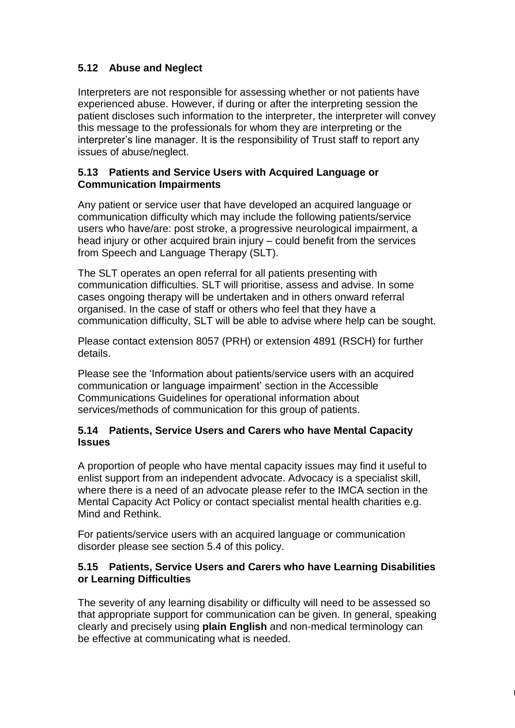# **5.12 Abuse and Neglect**

Interpreters are not responsible for assessing whether or not patients have experienced abuse. However, if during or after the interpreting session the patient discloses such information to the interpreter, the interpreter will convey this message to the professionals for whom they are interpreting or the interpreter's line manager. It is the responsibility of Trust staff to report any issues of abuse/neglect.

#### **5.13 Patients and Service Users with Acquired Language or Communication Impairments**

Any patient or service user that have developed an acquired language or communication difficulty which may include the following patients/service users who have/are: post stroke, a progressive neurological impairment, a head injury or other acquired brain injury – could benefit from the services from Speech and Language Therapy (SLT).

The SLT operates an open referral for all patients presenting with communication difficulties. SLT will prioritise, assess and advise. In some cases ongoing therapy will be undertaken and in others onward referral organised. In the case of staff or others who feel that they have a communication difficulty, SLT will be able to advise where help can be sought.

Please contact extension 8057 (PRH) or extension 4891 (RSCH) for further details.

Please see the 'Information about patients/service users with an acquired communication or language impairment' section in the Accessible Communications Guidelines for operational information about services/methods of communication for this group of patients.

#### **5.14 Patients, Service Users and Carers who have Mental Capacity Issues**

A proportion of people who have mental capacity issues may find it useful to enlist support from an independent advocate. Advocacy is a specialist skill, where there is a need of an advocate please refer to the IMCA section in the Mental Capacity Act Policy or contact specialist mental health charities e.g. Mind and Rethink.

For patients/service users with an acquired language or communication disorder please see section 5.4 of this policy.

#### **5.15 Patients, Service Users and Carers who have Learning Disabilities or Learning Difficulties**

The severity of any learning disability or difficulty will need to be assessed so that appropriate support for communication can be given. In general, speaking clearly and precisely using **plain English** and non-medical terminology can be effective at communicating what is needed.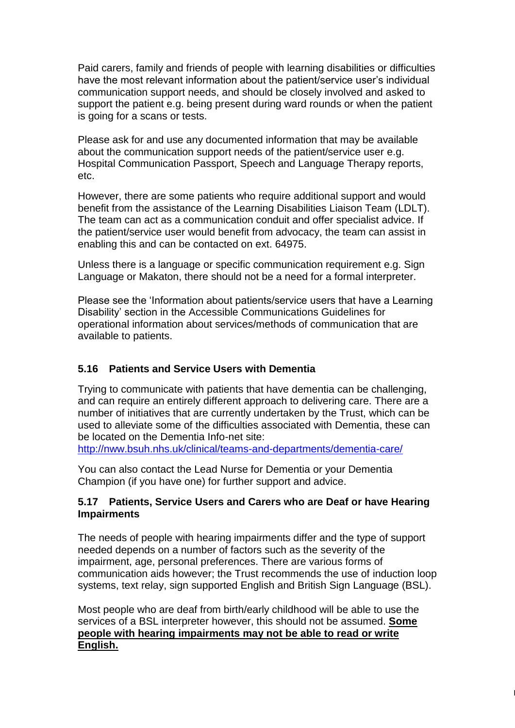Paid carers, family and friends of people with learning disabilities or difficulties have the most relevant information about the patient/service user's individual communication support needs, and should be closely involved and asked to support the patient e.g. being present during ward rounds or when the patient is going for a scans or tests.

Please ask for and use any documented information that may be available about the communication support needs of the patient/service user e.g. Hospital Communication Passport, Speech and Language Therapy reports, etc.

However, there are some patients who require additional support and would benefit from the assistance of the Learning Disabilities Liaison Team (LDLT). The team can act as a communication conduit and offer specialist advice. If the patient/service user would benefit from advocacy, the team can assist in enabling this and can be contacted on ext. 64975.

Unless there is a language or specific communication requirement e.g. Sign Language or Makaton, there should not be a need for a formal interpreter.

Please see the 'Information about patients/service users that have a Learning Disability' section in the Accessible Communications Guidelines for operational information about services/methods of communication that are available to patients.

## **5.16 Patients and Service Users with Dementia**

Trying to communicate with patients that have dementia can be challenging, and can require an entirely different approach to delivering care. There are a number of initiatives that are currently undertaken by the Trust, which can be used to alleviate some of the difficulties associated with Dementia, these can be located on the Dementia Info-net site:

<http://nww.bsuh.nhs.uk/clinical/teams-and-departments/dementia-care/>

You can also contact the Lead Nurse for Dementia or your Dementia Champion (if you have one) for further support and advice.

#### **5.17 Patients, Service Users and Carers who are Deaf or have Hearing Impairments**

The needs of people with hearing impairments differ and the type of support needed depends on a number of factors such as the severity of the impairment, age, personal preferences. There are various forms of communication aids however; the Trust recommends the use of induction loop systems, text relay, sign supported English and British Sign Language (BSL).

Most people who are deaf from birth/early childhood will be able to use the services of a BSL interpreter however, this should not be assumed. **Some people with hearing impairments may not be able to read or write English.**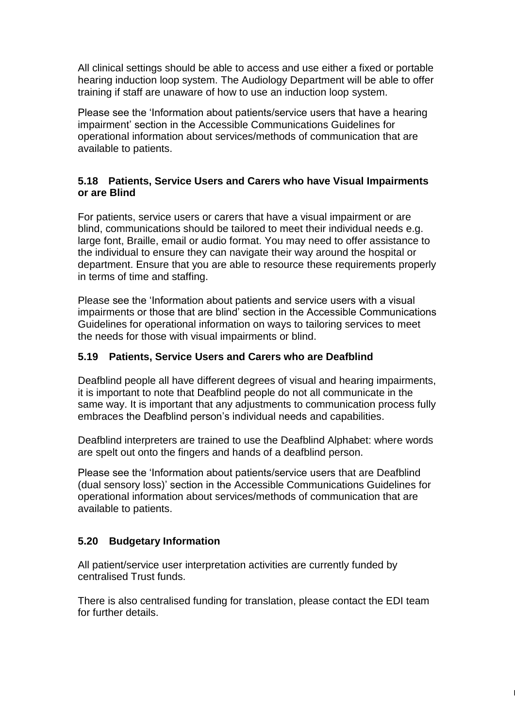All clinical settings should be able to access and use either a fixed or portable hearing induction loop system. The Audiology Department will be able to offer training if staff are unaware of how to use an induction loop system.

Please see the 'Information about patients/service users that have a hearing impairment' section in the Accessible Communications Guidelines for operational information about services/methods of communication that are available to patients.

#### **5.18 Patients, Service Users and Carers who have Visual Impairments or are Blind**

For patients, service users or carers that have a visual impairment or are blind, communications should be tailored to meet their individual needs e.g. large font, Braille, email or audio format. You may need to offer assistance to the individual to ensure they can navigate their way around the hospital or department. Ensure that you are able to resource these requirements properly in terms of time and staffing.

Please see the 'Information about patients and service users with a visual impairments or those that are blind' section in the Accessible Communications Guidelines for operational information on ways to tailoring services to meet the needs for those with visual impairments or blind.

#### **5.19 Patients, Service Users and Carers who are Deafblind**

Deafblind people all have different degrees of visual and hearing impairments, it is important to note that Deafblind people do not all communicate in the same way. It is important that any adjustments to communication process fully embraces the Deafblind person's individual needs and capabilities.

Deafblind interpreters are trained to use the Deafblind Alphabet: where words are spelt out onto the fingers and hands of a deafblind person.

Please see the 'Information about patients/service users that are Deafblind (dual sensory loss)' section in the Accessible Communications Guidelines for operational information about services/methods of communication that are available to patients.

#### **5.20 Budgetary Information**

All patient/service user interpretation activities are currently funded by centralised Trust funds.

There is also centralised funding for translation, please contact the EDI team for further details.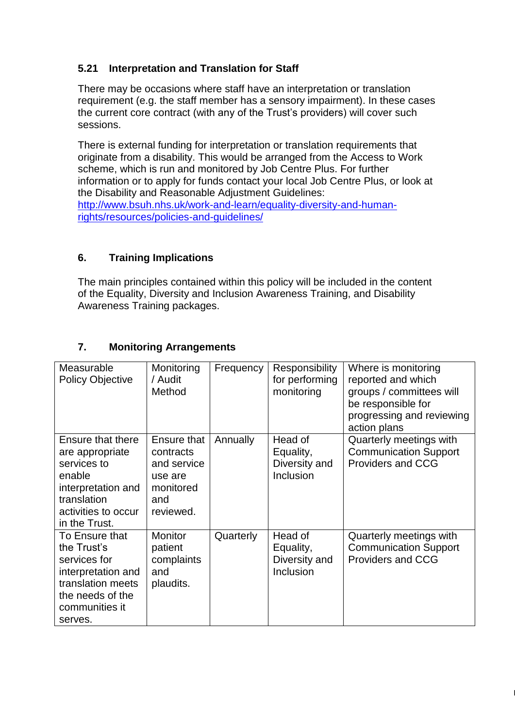# **5.21 Interpretation and Translation for Staff**

There may be occasions where staff have an interpretation or translation requirement (e.g. the staff member has a sensory impairment). In these cases the current core contract (with any of the Trust's providers) will cover such sessions.

There is external funding for interpretation or translation requirements that originate from a disability. This would be arranged from the Access to Work scheme, which is run and monitored by Job Centre Plus. For further information or to apply for funds contact your local Job Centre Plus, or look at the Disability and Reasonable Adjustment Guidelines: [http://www.bsuh.nhs.uk/work-and-learn/equality-diversity-and-human](http://www.bsuh.nhs.uk/work-and-learn/equality-diversity-and-human-rights/resources/policies-and-guidelines/)[rights/resources/policies-and-guidelines/](http://www.bsuh.nhs.uk/work-and-learn/equality-diversity-and-human-rights/resources/policies-and-guidelines/)

## **6. Training Implications**

The main principles contained within this policy will be included in the content of the Equality, Diversity and Inclusion Awareness Training, and Disability Awareness Training packages.

| Measurable<br><b>Policy Objective</b>                                                                                                      | Monitoring<br>/ Audit<br>Method                                                     | Frequency | Responsibility<br>for performing<br>monitoring     | Where is monitoring<br>reported and which<br>groups / committees will<br>be responsible for<br>progressing and reviewing<br>action plans |
|--------------------------------------------------------------------------------------------------------------------------------------------|-------------------------------------------------------------------------------------|-----------|----------------------------------------------------|------------------------------------------------------------------------------------------------------------------------------------------|
| Ensure that there<br>are appropriate<br>services to<br>enable<br>interpretation and<br>translation<br>activities to occur<br>in the Trust. | Ensure that<br>contracts<br>and service<br>use are<br>monitored<br>and<br>reviewed. | Annually  | Head of<br>Equality,<br>Diversity and<br>Inclusion | Quarterly meetings with<br><b>Communication Support</b><br><b>Providers and CCG</b>                                                      |
| To Ensure that<br>the Trust's<br>services for<br>interpretation and<br>translation meets<br>the needs of the<br>communities it<br>serves.  | <b>Monitor</b><br>patient<br>complaints<br>and<br>plaudits.                         | Quarterly | Head of<br>Equality,<br>Diversity and<br>Inclusion | Quarterly meetings with<br><b>Communication Support</b><br><b>Providers and CCG</b>                                                      |

 $\vert$ 

## **7. Monitoring Arrangements**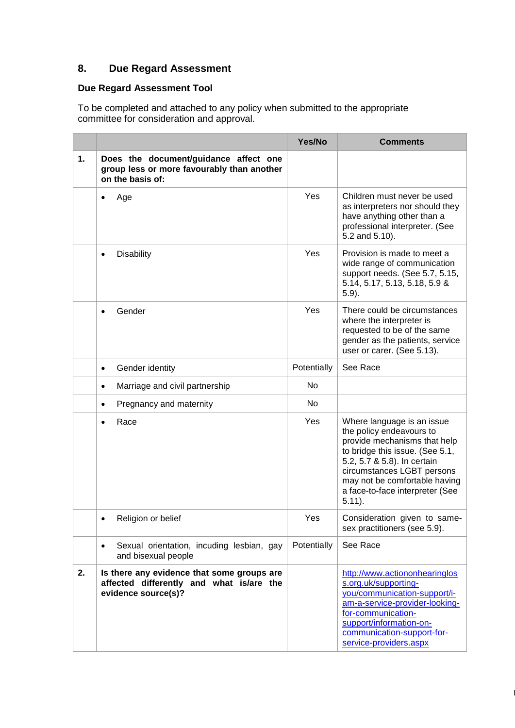# **8. Due Regard Assessment**

# **Due Regard Assessment Tool**

To be completed and attached to any policy when submitted to the appropriate committee for consideration and approval.

|    |                                                                                                               | Yes/No      | <b>Comments</b>                                                                                                                                                                                                                                                         |
|----|---------------------------------------------------------------------------------------------------------------|-------------|-------------------------------------------------------------------------------------------------------------------------------------------------------------------------------------------------------------------------------------------------------------------------|
| 1. | Does the document/guidance affect one<br>group less or more favourably than another<br>on the basis of:       |             |                                                                                                                                                                                                                                                                         |
|    | Age<br>٠                                                                                                      | Yes         | Children must never be used<br>as interpreters nor should they<br>have anything other than a<br>professional interpreter. (See<br>5.2 and 5.10).                                                                                                                        |
|    | <b>Disability</b><br>$\bullet$                                                                                | Yes         | Provision is made to meet a<br>wide range of communication<br>support needs. (See 5.7, 5.15,<br>5.14, 5.17, 5.13, 5.18, 5.9 &<br>$5.9$ ).                                                                                                                               |
|    | Gender<br>$\bullet$                                                                                           | Yes         | There could be circumstances<br>where the interpreter is<br>requested to be of the same<br>gender as the patients, service<br>user or carer. (See 5.13).                                                                                                                |
|    | Gender identity<br>$\bullet$                                                                                  | Potentially | See Race                                                                                                                                                                                                                                                                |
|    | Marriage and civil partnership<br>$\bullet$                                                                   | No          |                                                                                                                                                                                                                                                                         |
|    | Pregnancy and maternity<br>$\bullet$                                                                          | No          |                                                                                                                                                                                                                                                                         |
|    | Race<br>$\bullet$                                                                                             | Yes         | Where language is an issue<br>the policy endeavours to<br>provide mechanisms that help<br>to bridge this issue. (See 5.1,<br>5.2, 5.7 & 5.8). In certain<br>circumstances LGBT persons<br>may not be comfortable having<br>a face-to-face interpreter (See<br>$5.11$ ). |
|    | Religion or belief                                                                                            | Yes         | Consideration given to same-<br>sex practitioners (see 5.9).                                                                                                                                                                                                            |
|    | Sexual orientation, incuding lesbian, gay<br>$\bullet$<br>and bisexual people                                 | Potentially | See Race                                                                                                                                                                                                                                                                |
| 2. | Is there any evidence that some groups are<br>affected differently and what is/are the<br>evidence source(s)? |             | http://www.actiononhearinglos<br>s.org.uk/supporting-<br>you/communication-support/i-<br>am-a-service-provider-looking-<br>for-communication-<br>support/information-on-<br>communication-support-for-<br>service-providers.aspx                                        |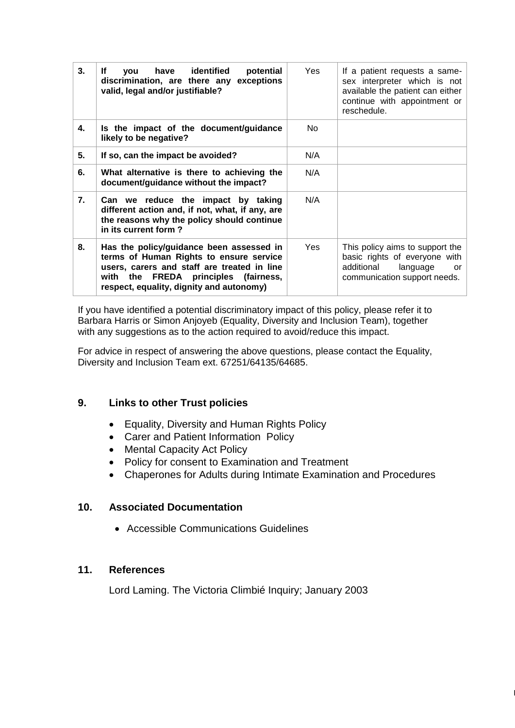| 3. | you have identified<br>potential<br>lf<br>discrimination, are there any exceptions<br>valid, legal and/or justifiable?                                                                                                 | Yes.       | If a patient requests a same-<br>sex interpreter which is not<br>available the patient can either<br>continue with appointment or<br>reschedule. |
|----|------------------------------------------------------------------------------------------------------------------------------------------------------------------------------------------------------------------------|------------|--------------------------------------------------------------------------------------------------------------------------------------------------|
| 4. | Is the impact of the document/guidance<br>likely to be negative?                                                                                                                                                       | No.        |                                                                                                                                                  |
| 5. | If so, can the impact be avoided?                                                                                                                                                                                      | N/A        |                                                                                                                                                  |
| 6. | What alternative is there to achieving the<br>document/guidance without the impact?                                                                                                                                    | N/A        |                                                                                                                                                  |
| 7. | Can we reduce the impact by taking<br>different action and, if not, what, if any, are<br>the reasons why the policy should continue<br>in its current form?                                                            | N/A        |                                                                                                                                                  |
| 8. | Has the policy/guidance been assessed in<br>terms of Human Rights to ensure service<br>users, carers and staff are treated in line<br>with the FREDA principles (fairness,<br>respect, equality, dignity and autonomy) | <b>Yes</b> | This policy aims to support the<br>basic rights of everyone with<br>additional<br>language<br><b>or</b><br>communication support needs.          |

If you have identified a potential discriminatory impact of this policy, please refer it to Barbara Harris or Simon Anjoyeb (Equality, Diversity and Inclusion Team), together with any suggestions as to the action required to avoid/reduce this impact.

For advice in respect of answering the above questions, please contact the Equality, Diversity and Inclusion Team ext. 67251/64135/64685.

#### **9. Links to other Trust policies**

- Equality, Diversity and Human Rights Policy
- Carer and Patient Information Policy
- Mental Capacity Act Policy
- Policy for consent to Examination and Treatment
- Chaperones for Adults during Intimate Examination and Procedures

 $\vert$ 

#### **10. Associated Documentation**

Accessible Communications Guidelines

#### **11. References**

Lord Laming. The Victoria Climbié Inquiry; January 2003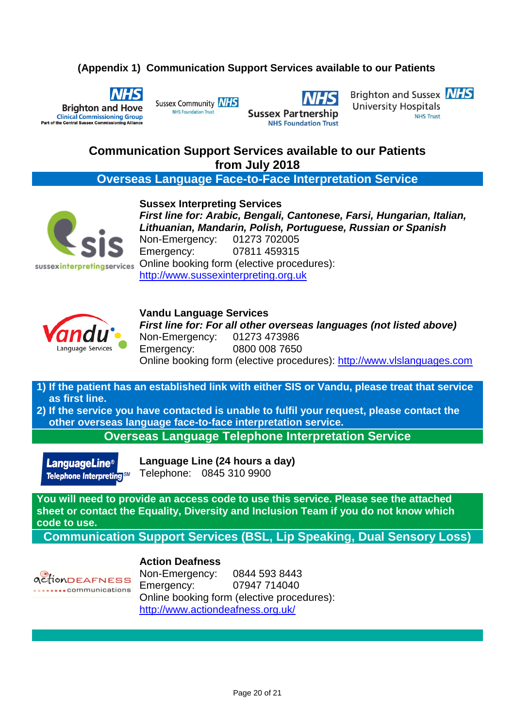## **(Appendix 1) Communication Support Services available to our Patients**



Sussex Community **NHS NHS Foundation Trust** 

**Sussex Partnership NHS Foundation Trust**  Brighton and Sussex **NHS University Hospitals NHS Trust** 

# **Communication Support Services available to our Patients from July 2018**

**Overseas Language Face-to-Face Interpretation Service**



**Sussex Interpreting Services** *First line for: Arabic, Bengali, Cantonese, Farsi, Hungarian, Italian, Lithuanian, Mandarin, Polish, Portuguese, Russian or Spanish* Non-Emergency: 01273 702005 Emergency: 07811 459315 Online booking form (elective procedures): [http://www.sussexinterpreting.org.uk](http://www.sussexinterpreting.org.uk/)



**Vandu Language Services** *First line for: For all other overseas languages (not listed above)*  Non-Emergency: 01273 473986 Emergency: 0800 008 7650 Online booking form (elective procedures): [http://www.vlslanguages.com](http://www.vlslanguages.com/)

**1) If the patient has an established link with either SIS or Vandu, please treat that service as first line.**

**2) If the service you have contacted is unable to fulfil your request, please contact the other overseas language face-to-face interpretation service.**

**Overseas Language Telephone Interpretation Service**

**LanguageLine<sup>®</sup>** Telephone Interpreting SM **Language Line (24 hours a day)** Telephone: 0845 310 9900

**You will need to provide an access code to use this service. Please see the attached sheet or contact the Equality, Diversity and Inclusion Team if you do not know which code to use.**

**Communication Support Services (BSL, Lip Speaking, Dual Sensory Loss)**

# *ACTIONDEAFNESS* ..communications

**Action Deafness** Non-Emergency: 0844 593 8443 Emergency: 07947 714040 Online booking form (elective procedures): <http://www.actiondeafness.org.uk/>